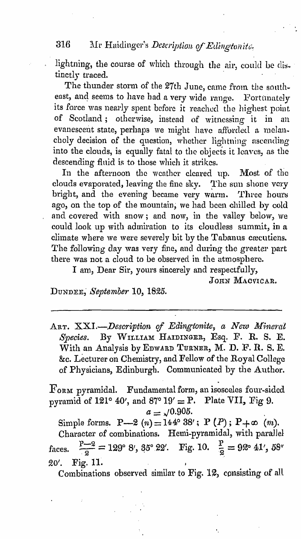#### 316 Mr Haidinger's Description of Edingtonite,

lightning, the course of which through the air, could be distinctly traced.

The thunder storm of the 27th June, came from the southeast, and seems to have had a very wide range. Fortunately its force was nearly spent before it reached the highest point of Scotland; otherwise, instead of witnessing it in an evanescent state, perhaps we might have afforded a melancholy decision of the question, whether lightning ascending into the clouds, is equally fatal to the objects it leaves, as the descending fluid is to those which it strikes.

In the afternoon the weather cleared up. Most of the clouds evaporated, leaving the fine sky. The sun shone very bright, and the evening became very warm. Three hours ago, on the top of the mountain, we had been chilled by cold and covered with snow; and now, in the valley below, we could look up with admiration to its cloudless summit, in a climate where we were severely bit by the Tabanus cæcutiens. The following day was very fine, and during the greater part there was not a cloud to be observed in the atmosphere.

I am, Dear Sir, yours sincerely and respectfully,

JOHN MACVICAR.

DUNDEE, September 10, 1825.

ART. XXI.-Description of Edingtonite, a New Mineral Species. By WILLIAM HAIDINGER, Esq. F. R. S. E. With an Analysis by EDWARD TURNER, M. D. F. R. S. E. &c. Lecturer on Chemistry, and Fellow of the Royal College of Physicians, Edinburgh. Communicated by the Author.

 $\Gamma$ ORM pyramidal. Fundamental form, an isosceles four-sided pyramid of 121° 40', and 87° 19' = P. Plate VII, Fig 9.  $a = \sqrt{0.905}.$ 

Simple forms. P-2 (n) = 144° 38'; P (P); P+ $\infty$  (m). Character of combinations. Hemi-pyramidal, with parallel faces.  $\frac{p-2}{2} = 129^{\circ} 8'$ , 35° 22′. Fig. 10.  $\frac{p}{2} = 92^{\circ} 41'$ , 58″  $20'.$ Fig. 11.

Combinations observed similar to Fig. 12, consisting of all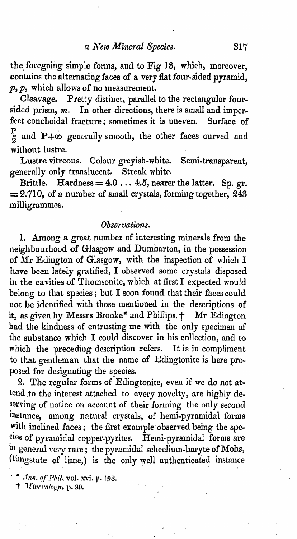the foregoing simple forms, and to Fig 13, which, moreover, contains the alternating faces of a very flat four-sided pyramid,  $p, p$ , which allows of no measurement.

Cleavage. Pretty distinct, parallel to the rectangular foursided prism, *m*. In other directions, there is small and imper-<br>fect conchoidal fracture: sometimes it is uneven. Surface of fect conchoidal fracture; sometimes it is uneven.  $\frac{P}{\tilde{\varphi}}$  and P+ $\infty$  generally smooth, the other faces curved and without lustre.

Lustre vitreous. Colour greyish-white. Semi-transparent, generally only translucent. Streak white.

Brittle. Hardness =  $4.0 \ldots 4.5$ , nearer the latter. Sp. gr.  $= 2.710$ , of a number of small crystals, forming together,  $\tilde{243}$ milligrammes.

### *Observations.*

1. Among a great number of interesting minerals from the neighbourhood of Glasgow and Dumbarton, in the possession of Mr Edington of Glasgow, with the inspection of which I have been lately gratified, I observed some crystals disposed in the cavities of Thomsonite, which at first I expected would belong to that species; but I soon found that their faces could not be identified with those mentioned in the descriptions of it, as given by Messrs Brooke\* and Phillips.  $+$  Mr Edington had the kindness of entrusting me with the only specimen of the substance which I could discover in his collection, and to which the preceding description refers. It is in compliment to that gentleman that the name of Edingtonite is here proposed for designating the species.

2. The regular forms of Edingtonite, even if we do not attend to the interest attached to every novelty, are highly deserving of notice on account of their forming the only second instance, among natural crystals, of hemi-pyramidal forms with inclined faces; the first example observed being the spcries of pyramidal copper-pyrites. Hemi-pyramidal forms are in general very rare; the pyramidal scheelium-baryte of Mohs, (tungstate of lime,) is the only well authenticated instance

· • *Ann. 'If* I~llil*..* vol. xvi. }" 193.

 $t$  Mineralogy, p. 39.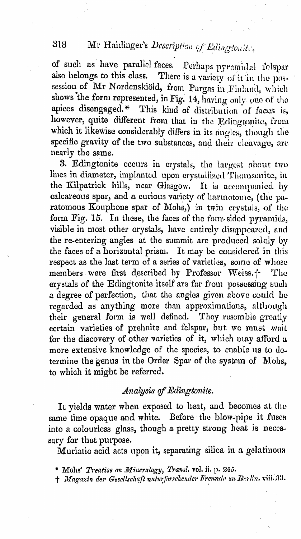# Mr Haidinger's Description of Edingtonia.

of such as have parallel faces. Perhaps pyramidal felspar also belongs to this class. There is a variety of it in the possession of Mr Nordenskiöld, from Pargas in Finland, which shows the form represented, in Fig. 14, having only one of the apices disengaged.\* This kind of distribution of faces is, however, quite different from that in the Edingtonite, from which it likewise considerably differs in its angles, though the specific gravity of the two substances, and their cleavage, are nearly the same.

3. Edingtonite occurs in crystals, the largest about two lines in diameter, implanted upon crystallized Thomsonite, in the Kilpatrick hills, near Glasgow. It is accompanied by calcareous spar, and a curious variety of harmotome, (the paratomous Kouphone spar of Mohs,) in twin crystals, of the form Fig. 15. In these, the faces of the four-sided pyramids, visible in most other crystals, have entirely disappeared, and the re-entering angles at the summit are produced solely by the faces of a horizontal prism. It may be considered in this respect as the last term of a series of varieties, some of whose members were first described by Professor Weiss.<sup>+-</sup> The crystals of the Edingtonite itself are far from possessing such a degree of perfection, that the angles given above could be regarded as anything more than approximations, although their general form is well defined. They resemble greatly certain varieties of prehnite and felspar, but we must wait for the discovery of other varieties of it, which may afford a more extensive knowledge of the species, to enable us to determine the genus in the Order Spar of the system of Mohs. to which it might be referred.

## Analysis of Edingtonite.

It yields water when exposed to heat, and becomes at the same time opaque and white. Before the blow-pipe it fuses into a colourless glass, though a pretty strong heat is necessary for that purpose.

Muriatic acid acts upon it, separating silica in a gelatinous

† Magazin der Gesellschaft naturforschender Freunde zu Berlin. viil. 33.

318

<sup>\*</sup> Mohs' Treatise on Mineralogy, Transl. vol. ii. p. 265.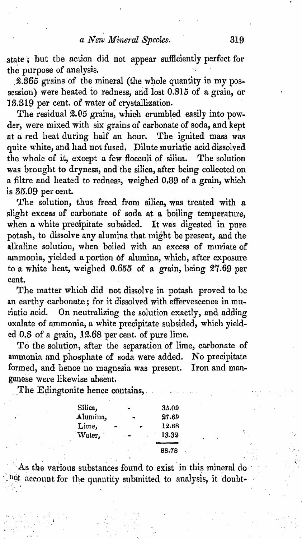### *a Ncte Mineral Species.* **319**

state; but the action did not appear sufficiently perfect for the purpose of analysis.

2.365 grains of the mineral (the whole quantity in my possession) were heated to redness, and lost 0.815 of a grain, or 13,319 per cent. of water of crystallization.

The residual  $2.05$  grains, which crumbled easily into powder, were mixed with six grains of carbonate of soda, and kept at a red heat during half an hour. The ignited mass was quite white, and had not fused. Dilute muriatic acid dissolved the whole of it, except a few flocculi of silica. The solution was brought to dryness, and the silica, after being collected on. a filtre and heated to redness, weighed 0.89 of a grain, which is 35.09 per cent.

The solution, thus freed from silica, was treated with a slight excess of carbonate of soda at a boiling temperature, when a white precipitate subsided. It was digested in pure potash, to dissolve any alumina that might be present, and the alkaline solution, when boiled with an excess of muriate of ammonia, yielded a portion of alumina, which, after exposure to a white heat, weighed  $0.655$  of a grain, being  $27.69$  per cent.

The matter which did not dissolve in potash proved to be an earthy carbonate; for it dissolved with effervescence in muriatic acid. On neutralizing the solution exactly, and adding oxalate of ammonia, a white precipitate subsided, which yielded 0.3 of a grain, 12.68 per cent. of pure lime.

To the solution, after the separation of lime, carbonate of ammonia and phosphate of soda were added. No precipitate formed, and hence no magnesia was present. Iron and manganese were likewise absent.

The Edingtonite hence contains,

" :

| Silica,  |    |                | 35.09 |
|----------|----|----------------|-------|
| Alumina, | à. |                | 27.69 |
| Lime,    |    | $\blacksquare$ | 12.68 |
| Water,   |    | . .            | 13.32 |
|          | ٠  | ٠              | 88.78 |

As the various substances found to exist in this mineral do . not account for the quantity submitted to analysis, it doubt-

. The simulation of the simulation of the simulation of the simulation of the simulation of the simulation of the simulation of the simulation of the simulation of the simulation of the simulation of the simulation of the